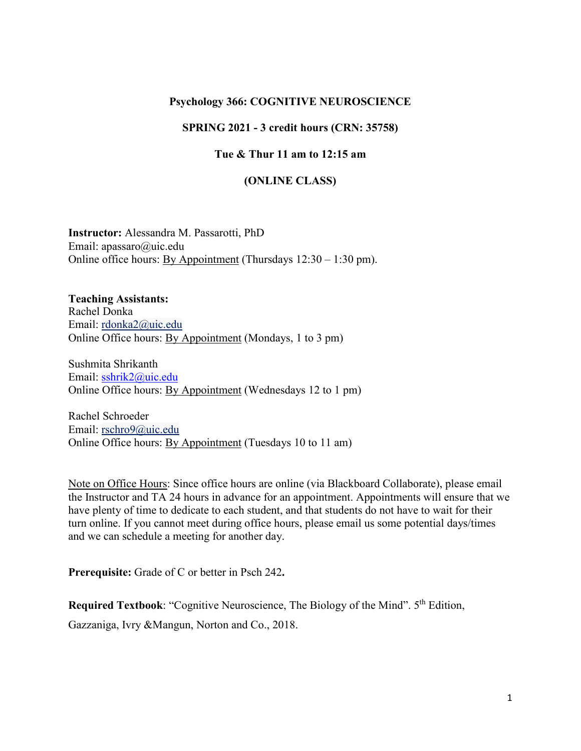#### **Psychology 366: COGNITIVE NEUROSCIENCE**

#### **SPRING 2021 - 3 credit hours (CRN: 35758)**

#### **Tue & Thur 11 am to 12:15 am**

#### **(ONLINE CLASS)**

**Instructor:** Alessandra M. Passarotti, PhD Email: apassaro@uic.edu Online office hours: By Appointment (Thursdays  $12:30 - 1:30$  pm).

**Teaching Assistants:** Rachel Donka Email: [rdonka2@uic.edu](mailto:rdonka2@uic.edu) Online Office hours: By Appointment (Mondays, 1 to 3 pm)

Sushmita Shrikanth Email: [sshrik2@uic.edu](mailto:sshrik2@uic.edu) Online Office hours: By Appointment (Wednesdays 12 to 1 pm)

Rachel Schroeder Email: [rschro9@uic.edu](mailto:rschro9@uic.edu) Online Office hours: By Appointment (Tuesdays 10 to 11 am)

Note on Office Hours: Since office hours are online (via Blackboard Collaborate), please email the Instructor and TA 24 hours in advance for an appointment. Appointments will ensure that we have plenty of time to dedicate to each student, and that students do not have to wait for their turn online. If you cannot meet during office hours, please email us some potential days/times and we can schedule a meeting for another day.

**Prerequisite:** Grade of C or better in Psch 242**.**

**Required Textbook:** "Cognitive Neuroscience, The Biology of the Mind". 5<sup>th</sup> Edition. Gazzaniga, Ivry &Mangun, Norton and Co., 2018.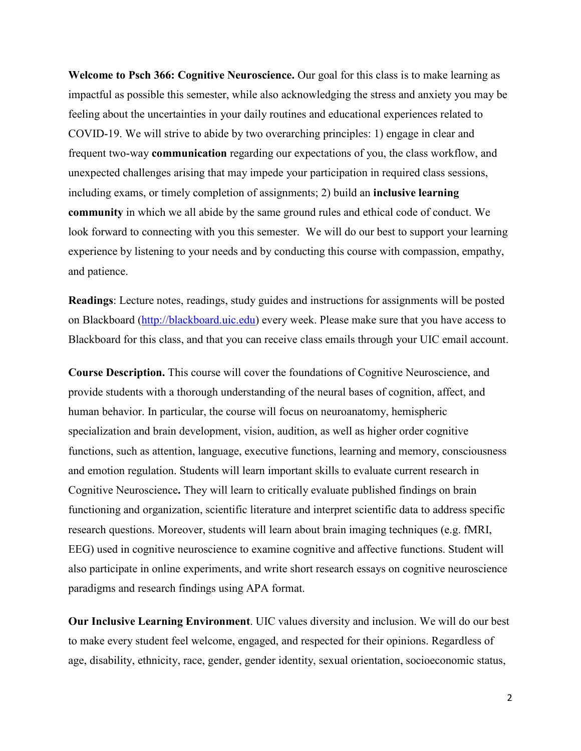**Welcome to Psch 366: Cognitive Neuroscience.** Our goal for this class is to make learning as impactful as possible this semester, while also acknowledging the stress and anxiety you may be feeling about the uncertainties in your daily routines and educational experiences related to COVID-19. We will strive to abide by two overarching principles: 1) engage in clear and frequent two-way **communication** regarding our expectations of you, the class workflow, and unexpected challenges arising that may impede your participation in required class sessions, including exams, or timely completion of assignments; 2) build an **inclusive learning community** in which we all abide by the same ground rules and ethical code of conduct. We look forward to connecting with you this semester. We will do our best to support your learning experience by listening to your needs and by conducting this course with compassion, empathy, and patience.

**Readings**: Lecture notes, readings, study guides and instructions for assignments will be posted on Blackboard [\(http://blackboard.uic.edu\)](http://blackboard.uic.edu/) every week. Please make sure that you have access to Blackboard for this class, and that you can receive class emails through your UIC email account.

**Course Description.** This course will cover the foundations of Cognitive Neuroscience, and provide students with a thorough understanding of the neural bases of cognition, affect, and human behavior. In particular, the course will focus on neuroanatomy, hemispheric specialization and brain development, vision, audition, as well as higher order cognitive functions, such as attention, language, executive functions, learning and memory, consciousness and emotion regulation. Students will learn important skills to evaluate current research in Cognitive Neuroscience**.** They will learn to critically evaluate published findings on brain functioning and organization, scientific literature and interpret scientific data to address specific research questions. Moreover, students will learn about brain imaging techniques (e.g. fMRI, EEG) used in cognitive neuroscience to examine cognitive and affective functions. Student will also participate in online experiments, and write short research essays on cognitive neuroscience paradigms and research findings using APA format.

**Our Inclusive Learning Environment**. UIC values diversity and inclusion. We will do our best to make every student feel welcome, engaged, and respected for their opinions. Regardless of age, disability, ethnicity, race, gender, gender identity, sexual orientation, socioeconomic status,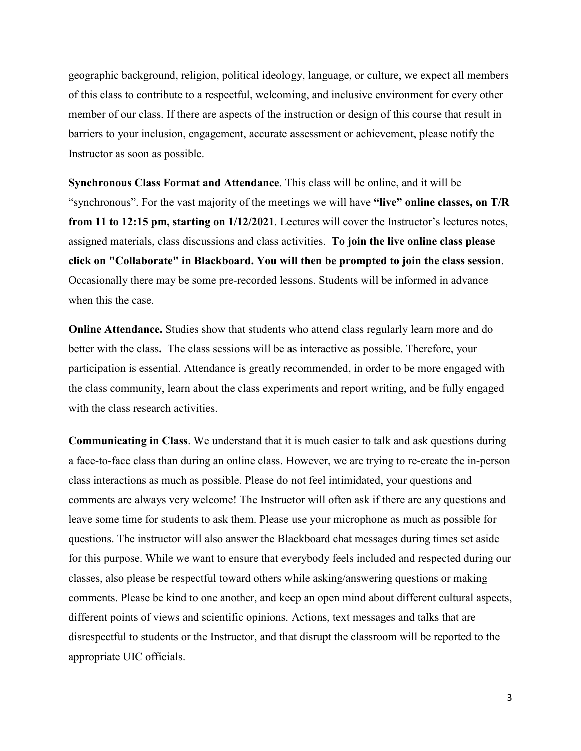geographic background, religion, political ideology, language, or culture, we expect all members of this class to contribute to a respectful, welcoming, and inclusive environment for every other member of our class. If there are aspects of the instruction or design of this course that result in barriers to your inclusion, engagement, accurate assessment or achievement, please notify the Instructor as soon as possible.

**Synchronous Class Format and Attendance**. This class will be online, and it will be "synchronous". For the vast majority of the meetings we will have **"live" online classes, on T/R from 11 to 12:15 pm, starting on 1/12/2021**. Lectures will cover the Instructor's lectures notes, assigned materials, class discussions and class activities. **To join the live online class please click on "Collaborate" in Blackboard. You will then be prompted to join the class session**. Occasionally there may be some pre-recorded lessons. Students will be informed in advance when this the case.

**Online Attendance.** Studies show that students who attend class regularly learn more and do better with the class**.** The class sessions will be as interactive as possible. Therefore, your participation is essential. Attendance is greatly recommended, in order to be more engaged with the class community, learn about the class experiments and report writing, and be fully engaged with the class research activities.

**Communicating in Class**. We understand that it is much easier to talk and ask questions during a face-to-face class than during an online class. However, we are trying to re-create the in-person class interactions as much as possible. Please do not feel intimidated, your questions and comments are always very welcome! The Instructor will often ask if there are any questions and leave some time for students to ask them. Please use your microphone as much as possible for questions. The instructor will also answer the Blackboard chat messages during times set aside for this purpose. While we want to ensure that everybody feels included and respected during our classes, also please be respectful toward others while asking/answering questions or making comments. Please be kind to one another, and keep an open mind about different cultural aspects, different points of views and scientific opinions. Actions, text messages and talks that are disrespectful to students or the Instructor, and that disrupt the classroom will be reported to the appropriate UIC officials.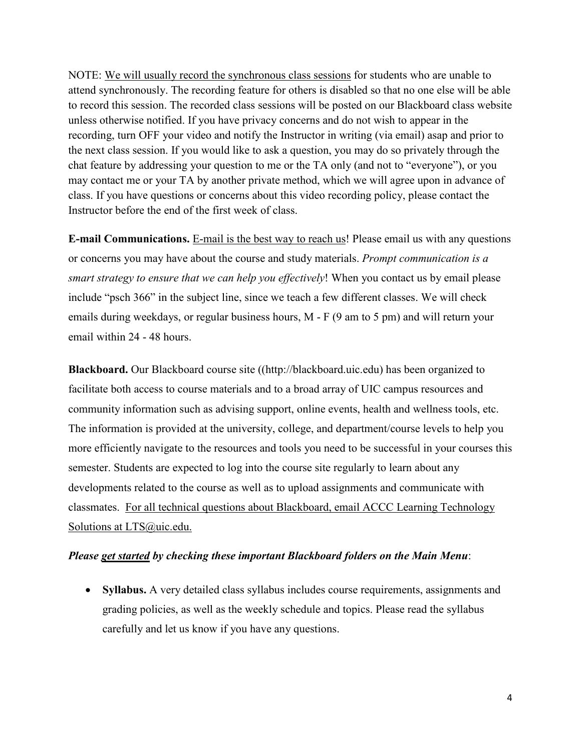NOTE: We will usually record the synchronous class sessions for students who are unable to attend synchronously. The recording feature for others is disabled so that no one else will be able to record this session. The recorded class sessions will be posted on our Blackboard class website unless otherwise notified. If you have privacy concerns and do not wish to appear in the recording, turn OFF your video and notify the Instructor in writing (via email) asap and prior to the next class session. If you would like to ask a question, you may do so privately through the chat feature by addressing your question to me or the TA only (and not to "everyone"), or you may contact me or your TA by another private method, which we will agree upon in advance of class. If you have questions or concerns about this video recording policy, please contact the Instructor before the end of the first week of class.

**E-mail Communications.** E-mail is the best way to reach us! Please email us with any questions or concerns you may have about the course and study materials. *Prompt communication is a smart strategy to ensure that we can help you effectively*! When you contact us by email please include "psch 366" in the subject line, since we teach a few different classes. We will check emails during weekdays, or regular business hours, M - F (9 am to 5 pm) and will return your email within 24 - 48 hours.

**Blackboard.** Our Blackboard course site ([\(http://blackboard.uic.edu\)](http://blackboard.uic.edu/) has been organized to facilitate both access to course materials and to a broad array of UIC campus resources and community information such as advising support, online events, health and wellness tools, etc. The information is provided at the university, college, and department/course levels to help you more efficiently navigate to the resources and tools you need to be successful in your courses this semester. Students are expected to log into the course site regularly to learn about any developments related to the course as well as to upload assignments and communicate with classmates. For all technical questions about Blackboard, email ACCC Learning Technology Solutions at [LTS@uic.edu.](mailto:LTS@uic.edu)

### *Please get started by checking these important Blackboard folders on the Main Menu*:

• **Syllabus.** A very detailed class syllabus includes course requirements, assignments and grading policies, as well as the weekly schedule and topics. Please read the syllabus carefully and let us know if you have any questions.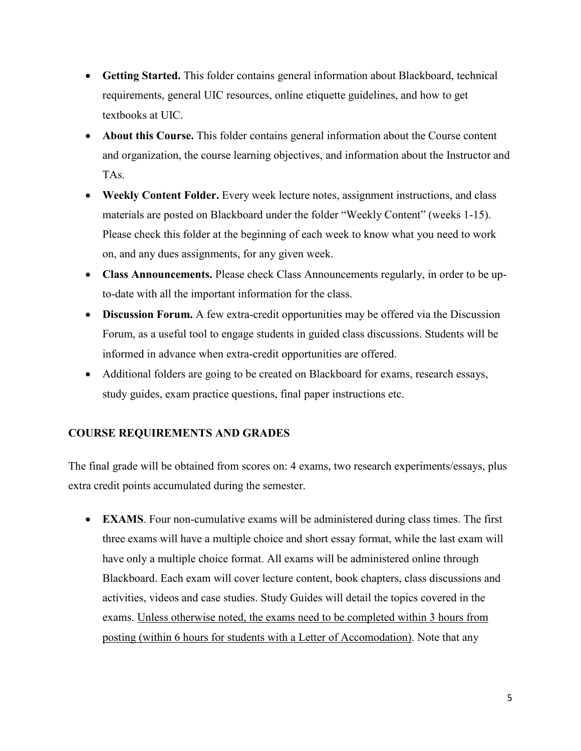- **Getting Started.** This folder contains general information about Blackboard, technical requirements, general UIC resources, online etiquette guidelines, and how to get textbooks at UIC.
- **About this Course.** This folder contains general information about the Course content and organization, the course learning objectives, and information about the Instructor and TAs.
- **Weekly Content Folder.** Every week lecture notes, assignment instructions, and class materials are posted on Blackboard under the folder "Weekly Content" (weeks 1-15). Please check this folder at the beginning of each week to know what you need to work on, and any dues assignments, for any given week.
- **Class Announcements.** Please check Class Announcements regularly, in order to be upto-date with all the important information for the class.
- **Discussion Forum.** A few extra-credit opportunities may be offered via the Discussion Forum, as a useful tool to engage students in guided class discussions. Students will be informed in advance when extra-credit opportunities are offered.
- Additional folders are going to be created on Blackboard for exams, research essays, study guides, exam practice questions, final paper instructions etc.

# **COURSE REQUIREMENTS AND GRADES**

The final grade will be obtained from scores on: 4 exams, two research experiments/essays, plus extra credit points accumulated during the semester.

• **EXAMS**. Four non-cumulative exams will be administered during class times. The first three exams will have a multiple choice and short essay format, while the last exam will have only a multiple choice format. All exams will be administered online through Blackboard. Each exam will cover lecture content, book chapters, class discussions and activities, videos and case studies. Study Guides will detail the topics covered in the exams. Unless otherwise noted, the exams need to be completed within 3 hours from posting (within 6 hours for students with a Letter of Accomodation). Note that any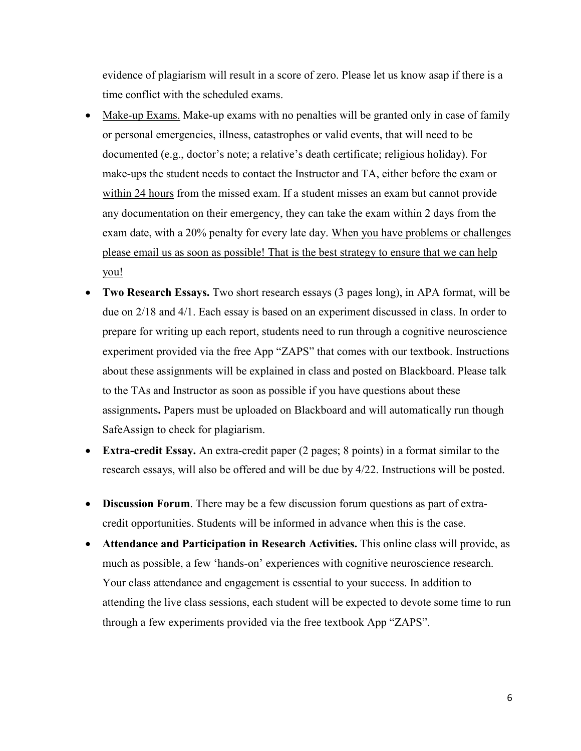evidence of plagiarism will result in a score of zero. Please let us know asap if there is a time conflict with the scheduled exams.

- Make-up Exams. Make-up exams with no penalties will be granted only in case of family or personal emergencies, illness, catastrophes or valid events, that will need to be documented (e.g., doctor's note; a relative's death certificate; religious holiday). For make-ups the student needs to contact the Instructor and TA, either before the exam or within 24 hours from the missed exam. If a student misses an exam but cannot provide any documentation on their emergency, they can take the exam within 2 days from the exam date, with a 20% penalty for every late day. When you have problems or challenges please email us as soon as possible! That is the best strategy to ensure that we can help you!
- **Two Research Essays.** Two short research essays (3 pages long), in APA format, will be due on 2/18 and 4/1. Each essay is based on an experiment discussed in class. In order to prepare for writing up each report, students need to run through a cognitive neuroscience experiment provided via the free App "ZAPS" that comes with our textbook. Instructions about these assignments will be explained in class and posted on Blackboard. Please talk to the TAs and Instructor as soon as possible if you have questions about these assignments**.** Papers must be uploaded on Blackboard and will automatically run though SafeAssign to check for plagiarism.
- **Extra-credit Essay.** An extra-credit paper (2 pages; 8 points) in a format similar to the research essays, will also be offered and will be due by 4/22. Instructions will be posted.
- **Discussion Forum**. There may be a few discussion forum questions as part of extracredit opportunities. Students will be informed in advance when this is the case.
- **Attendance and Participation in Research Activities.** This online class will provide, as much as possible, a few 'hands-on' experiences with cognitive neuroscience research. Your class attendance and engagement is essential to your success. In addition to attending the live class sessions, each student will be expected to devote some time to run through a few experiments provided via the free textbook App "ZAPS".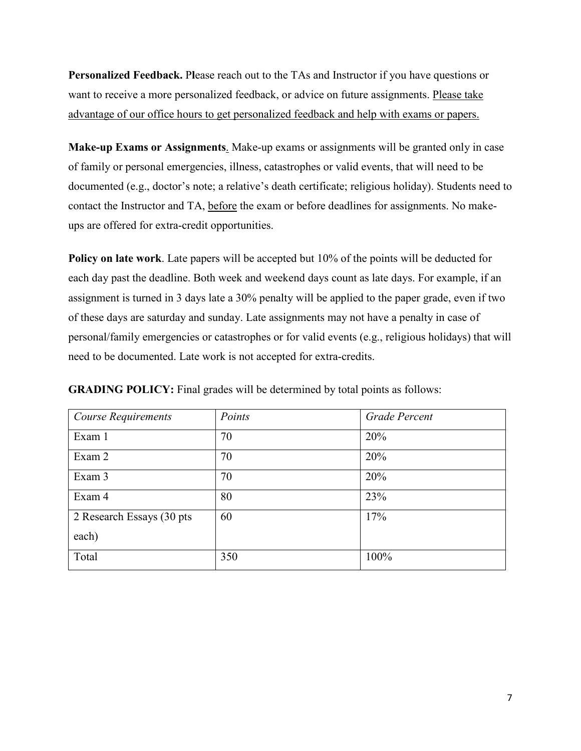**Personalized Feedback.** P**l**ease reach out to the TAs and Instructor if you have questions or want to receive a more personalized feedback, or advice on future assignments. Please take advantage of our office hours to get personalized feedback and help with exams or papers.

**Make-up Exams or Assignments**. Make-up exams or assignments will be granted only in case of family or personal emergencies, illness, catastrophes or valid events, that will need to be documented (e.g., doctor's note; a relative's death certificate; religious holiday). Students need to contact the Instructor and TA, before the exam or before deadlines for assignments. No makeups are offered for extra-credit opportunities.

**Policy on late work**. Late papers will be accepted but 10% of the points will be deducted for each day past the deadline. Both week and weekend days count as late days. For example, if an assignment is turned in 3 days late a 30% penalty will be applied to the paper grade, even if two of these days are saturday and sunday. Late assignments may not have a penalty in case of personal/family emergencies or catastrophes or for valid events (e.g., religious holidays) that will need to be documented. Late work is not accepted for extra-credits.

| Course Requirements        | Points | Grade Percent |
|----------------------------|--------|---------------|
| Exam 1                     | 70     | 20%           |
| Exam 2                     | 70     | 20%           |
| Exam 3                     | 70     | 20%           |
| Exam 4                     | 80     | 23%           |
| 2 Research Essays (30 pts) | 60     | 17%           |
| each)                      |        |               |
| Total                      | 350    | 100%          |

**GRADING POLICY:** Final grades will be determined by total points as follows: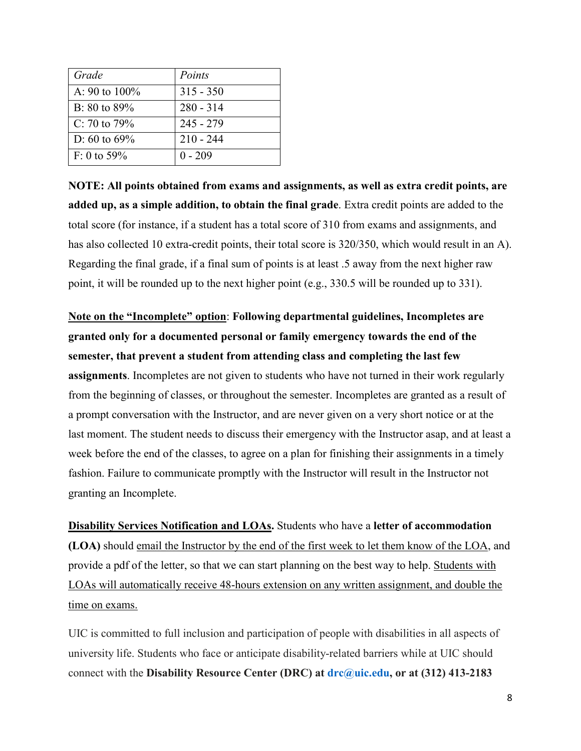| Grade             | Points      |
|-------------------|-------------|
| A: 90 to 100%     | $315 - 350$ |
| B: $80$ to $89\%$ | $280 - 314$ |
| C: 70 to $79\%$   | $245 - 279$ |
| D: 60 to $69\%$   | $210 - 244$ |
| $F: 0$ to 59%     | $0 - 209$   |

**NOTE: All points obtained from exams and assignments, as well as extra credit points, are added up, as a simple addition, to obtain the final grade**. Extra credit points are added to the total score (for instance, if a student has a total score of 310 from exams and assignments, and has also collected 10 extra-credit points, their total score is 320/350, which would result in an A). Regarding the final grade, if a final sum of points is at least .5 away from the next higher raw point, it will be rounded up to the next higher point (e.g., 330.5 will be rounded up to 331).

**Note on the "Incomplete" option**: **Following departmental guidelines, Incompletes are granted only for a documented personal or family emergency towards the end of the semester, that prevent a student from attending class and completing the last few assignments**. Incompletes are not given to students who have not turned in their work regularly from the beginning of classes, or throughout the semester. Incompletes are granted as a result of a prompt conversation with the Instructor, and are never given on a very short notice or at the last moment. The student needs to discuss their emergency with the Instructor asap, and at least a week before the end of the classes, to agree on a plan for finishing their assignments in a timely fashion. Failure to communicate promptly with the Instructor will result in the Instructor not granting an Incomplete.

**Disability Services Notification and LOAs.** Students who have a **letter of accommodation (LOA)** should email the Instructor by the end of the first week to let them know of the LOA, and provide a pdf of the letter, so that we can start planning on the best way to help. Students with LOAs will automatically receive 48-hours extension on any written assignment, and double the time on exams.

UIC is committed to full inclusion and participation of people with disabilities in all aspects of university life. Students who face or anticipate disability-related barriers while at UIC should connect with the **Disability Resource Center (DRC) at [drc@uic.edu,](mailto:drc@uic.edu) or at (312) 413-2183**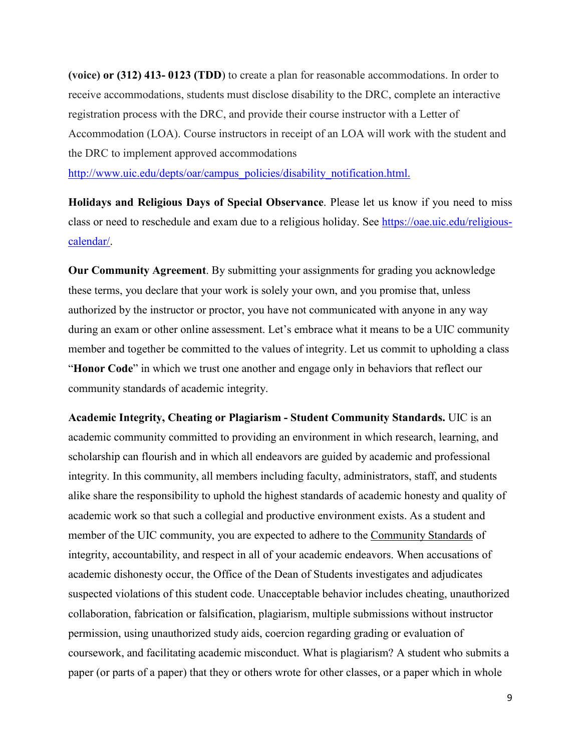**(voice) or (312) 413- 0123 (TDD**) to create a plan for reasonable accommodations. In order to receive accommodations, students must disclose disability to the DRC, complete an interactive registration process with the DRC, and provide their course instructor with a Letter of Accommodation (LOA). Course instructors in receipt of an LOA will work with the student and the DRC to implement approved accommodations

[http://www.uic.edu/depts/oar/campus\\_policies/disability\\_notification.html.](http://www.uic.edu/depts/oar/campus_policies/disability_notification.html)

**Holidays and Religious Days of Special Observance**. Please let us know if you need to miss class or need to reschedule and exam due to a religious holiday. See [https://oae.uic.edu/religious](https://oae.uic.edu/religious-calendar/)[calendar/.](https://oae.uic.edu/religious-calendar/)

**Our Community Agreement**. By submitting your assignments for grading you acknowledge these terms, you declare that your work is solely your own, and you promise that, unless authorized by the instructor or proctor, you have not communicated with anyone in any way during an exam or other online assessment. Let's embrace what it means to be a UIC community member and together be committed to the values of integrity. Let us commit to upholding a class "**Honor Code**" in which we trust one another and engage only in behaviors that reflect our community standards of academic integrity.

**Academic Integrity, Cheating or Plagiarism - Student Community Standards.** UIC is an academic community committed to providing an environment in which research, learning, and scholarship can flourish and in which all endeavors are guided by academic and professional integrity. In this community, all members including faculty, administrators, staff, and students alike share the responsibility to uphold the highest standards of academic honesty and quality of academic work so that such a collegial and productive environment exists. As a student and member of the UIC community, you are expected to adhere to the [Community Standards](https://dos.uic.edu/community-standards/) of integrity, accountability, and respect in all of your academic endeavors. When [accusations of](https://dos.uic.edu/community-standards/academic-integrity/)  [academic dishonesty](https://dos.uic.edu/community-standards/academic-integrity/) occur, the Office of the Dean of Students investigates and adjudicates suspected violations of this student code. Unacceptable behavior includes cheating, unauthorized collaboration, fabrication or falsification, plagiarism, multiple submissions without instructor permission, using unauthorized study aids, coercion regarding grading or evaluation of coursework, and facilitating academic misconduct. What is plagiarism? A student who submits a paper (or parts of a paper) that they or others wrote for other classes, or a paper which in whole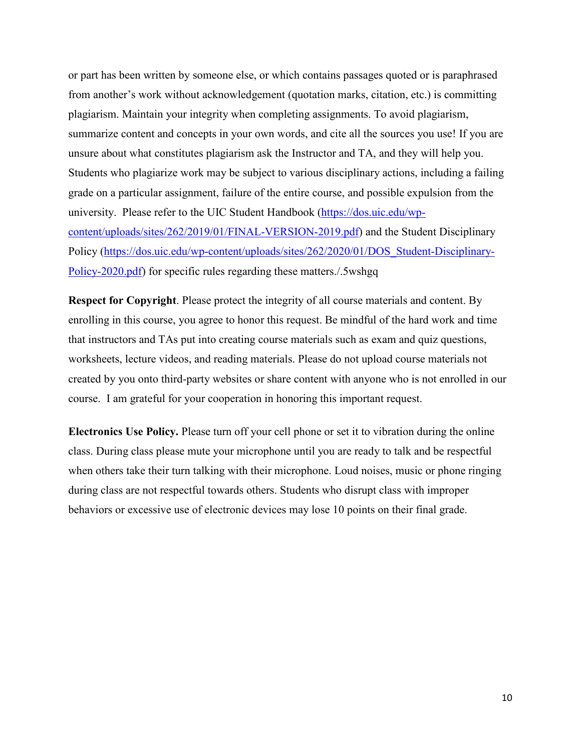or part has been written by someone else, or which contains passages quoted or is paraphrased from another's work without acknowledgement (quotation marks, citation, etc.) is committing plagiarism. Maintain your integrity when completing assignments. To avoid plagiarism, summarize content and concepts in your own words, and cite all the sources you use! If you are unsure about what constitutes plagiarism ask the Instructor and TA, and they will help you. Students who plagiarize work may be subject to various disciplinary actions, including a failing grade on a particular assignment, failure of the entire course, and possible expulsion from the university. Please refer to the UIC Student Handbook [\(https://dos.uic.edu/wp](https://dos.uic.edu/wp-content/uploads/sites/262/2019/01/FINAL-VERSION-2019.pdf)[content/uploads/sites/262/2019/01/FINAL-VERSION-2019.pdf\)](https://dos.uic.edu/wp-content/uploads/sites/262/2019/01/FINAL-VERSION-2019.pdf) and the Student Disciplinary Policy [\(https://dos.uic.edu/wp-content/uploads/sites/262/2020/01/DOS\\_Student-Disciplinary-](https://dos.uic.edu/wp-content/uploads/sites/262/2020/01/DOS_Student-Disciplinary-Policy-2020.pdf)[Policy-2020.pdf\)](https://dos.uic.edu/wp-content/uploads/sites/262/2020/01/DOS_Student-Disciplinary-Policy-2020.pdf) for specific rules regarding these matters./.5wshgq

**Respect for Copyright**. Please protect the integrity of all course materials and content. By enrolling in this course, you agree to honor this request. Be mindful of the hard work and time that instructors and TAs put into creating course materials such as exam and quiz questions, worksheets, lecture videos, and reading materials. Please do not upload course materials not created by you onto third-party websites or share content with anyone who is not enrolled in our course. I am grateful for your cooperation in honoring this important request.

**Electronics Use Policy.** Please turn off your cell phone or set it to vibration during the online class. During class please mute your microphone until you are ready to talk and be respectful when others take their turn talking with their microphone. Loud noises, music or phone ringing during class are not respectful towards others. Students who disrupt class with improper behaviors or excessive use of electronic devices may lose 10 points on their final grade.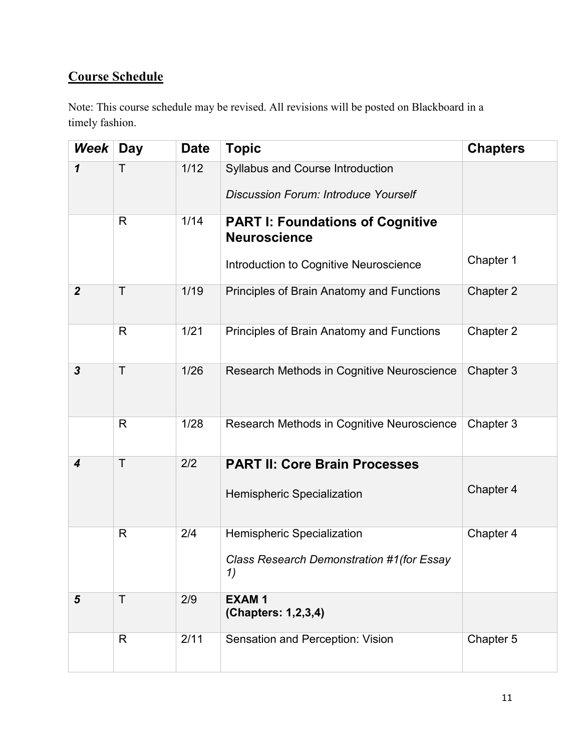# **Course Schedule**

Note: This course schedule may be revised. All revisions will be posted on Blackboard in a timely fashion.

| Week                    | Day          | <b>Date</b> | <b>Topic</b>                                                                                             | <b>Chapters</b> |
|-------------------------|--------------|-------------|----------------------------------------------------------------------------------------------------------|-----------------|
| 1                       | Τ            | 1/12        | Syllabus and Course Introduction<br><b>Discussion Forum: Introduce Yourself</b>                          |                 |
|                         | R            | 1/14        | <b>PART I: Foundations of Cognitive</b><br><b>Neuroscience</b><br>Introduction to Cognitive Neuroscience | Chapter 1       |
|                         |              |             |                                                                                                          |                 |
| $\boldsymbol{2}$        | T            | 1/19        | Principles of Brain Anatomy and Functions                                                                | Chapter 2       |
|                         | $\mathsf{R}$ | 1/21        | Principles of Brain Anatomy and Functions                                                                | Chapter 2       |
| $\overline{\mathbf{3}}$ | T            | 1/26        | Research Methods in Cognitive Neuroscience                                                               | Chapter 3       |
|                         | R            | 1/28        | Research Methods in Cognitive Neuroscience                                                               | Chapter 3       |
| 4                       | T            | 2/2         | <b>PART II: Core Brain Processes</b><br><b>Hemispheric Specialization</b>                                | Chapter 4       |
|                         | R            | 2/4         | Hemispheric Specialization<br>Class Research Demonstration #1 (for Essay<br>1)                           | Chapter 4       |
| $5\phantom{1}$          | T            | 2/9         | <b>EXAM1</b><br>(Chapters: 1,2,3,4)                                                                      |                 |
|                         | R            | 2/11        | Sensation and Perception: Vision                                                                         | Chapter 5       |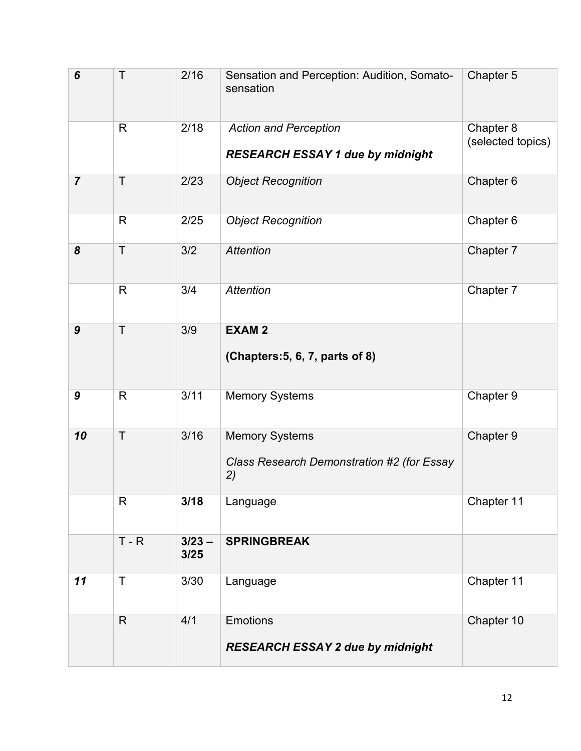| 6                | Τ            | 2/16             | Sensation and Perception: Audition, Somato-<br>sensation                  | Chapter 5                      |
|------------------|--------------|------------------|---------------------------------------------------------------------------|--------------------------------|
|                  | $\mathsf{R}$ | 2/18             | <b>Action and Perception</b><br><b>RESEARCH ESSAY 1 due by midnight</b>   | Chapter 8<br>(selected topics) |
| $\overline{7}$   | $\mathsf{T}$ | 2/23             | <b>Object Recognition</b>                                                 | Chapter 6                      |
|                  | $\mathsf{R}$ | 2/25             | <b>Object Recognition</b>                                                 | Chapter 6                      |
| 8                | $\mathsf T$  | 3/2              | <b>Attention</b>                                                          | Chapter 7                      |
|                  | R            | 3/4              | <b>Attention</b>                                                          | Chapter 7                      |
| $\boldsymbol{9}$ | T            | 3/9              | <b>EXAM2</b><br>(Chapters: 5, 6, 7, parts of 8)                           |                                |
| $\boldsymbol{9}$ | $\mathsf{R}$ | 3/11             | <b>Memory Systems</b>                                                     | Chapter 9                      |
| 10               | $\mathsf{T}$ | 3/16             | <b>Memory Systems</b><br>Class Research Demonstration #2 (for Essay<br>2) | Chapter 9                      |
|                  | R            | 3/18             | Language                                                                  | Chapter 11                     |
|                  | $T - R$      | $3/23 -$<br>3/25 | <b>SPRINGBREAK</b>                                                        |                                |
| 11               | Τ            | 3/30             | Language                                                                  | Chapter 11                     |
|                  | $\mathsf{R}$ | 4/1              | <b>Emotions</b><br>RESEARCH ESSAY 2 due by midnight                       | Chapter 10                     |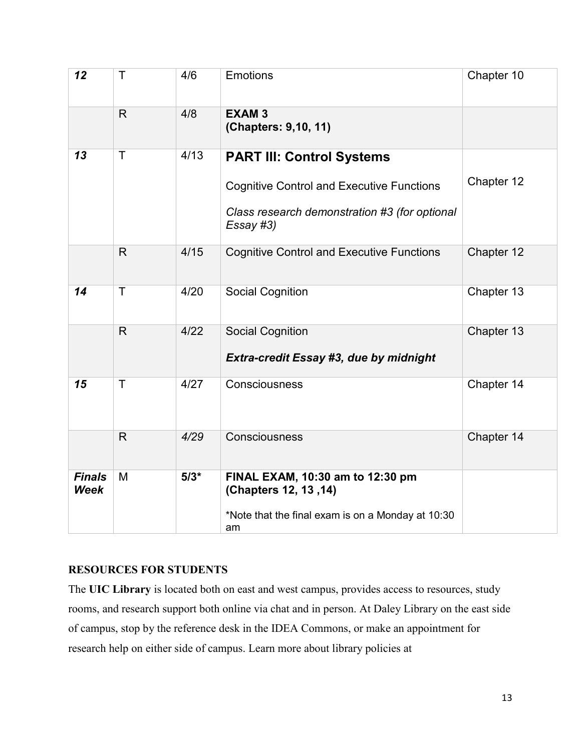| 12                           | Τ            | 4/6    | <b>Emotions</b>                                                                                                                                    | Chapter 10 |
|------------------------------|--------------|--------|----------------------------------------------------------------------------------------------------------------------------------------------------|------------|
|                              | $\mathsf{R}$ | 4/8    | <b>EXAM3</b><br>(Chapters: 9,10, 11)                                                                                                               |            |
| 13                           | Τ            | 4/13   | <b>PART III: Control Systems</b><br><b>Cognitive Control and Executive Functions</b><br>Class research demonstration #3 (for optional<br>Essay #3) | Chapter 12 |
|                              | $\mathsf{R}$ | 4/15   | <b>Cognitive Control and Executive Functions</b>                                                                                                   | Chapter 12 |
| 14                           | T            | 4/20   | <b>Social Cognition</b>                                                                                                                            | Chapter 13 |
|                              | $\mathsf{R}$ | 4/22   | <b>Social Cognition</b><br>Extra-credit Essay #3, due by midnight                                                                                  | Chapter 13 |
| 15                           | T            | 4/27   | Consciousness                                                                                                                                      | Chapter 14 |
|                              | $\mathsf{R}$ | 4/29   | Consciousness                                                                                                                                      | Chapter 14 |
| <b>Finals</b><br><b>Week</b> | M            | $5/3*$ | FINAL EXAM, 10:30 am to 12:30 pm<br>(Chapters 12, 13, 14)<br>*Note that the final exam is on a Monday at 10:30<br>am                               |            |

## **RESOURCES FOR STUDENTS**

The **UIC Library** is located both on east and west campus, provides access to resources, study rooms, and research support both online via chat and in person. At Daley Library on the east side of campus, stop by the reference desk in the IDEA Commons, or make an appointment for research help on either side of campus. Learn more about library policies at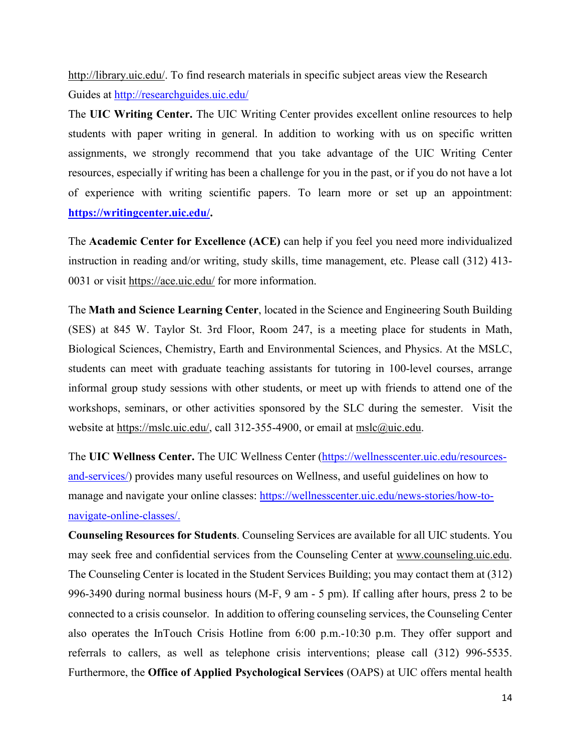[http://library.uic.edu/.](http://library.uic.edu/) To find research materials in specific subject areas view the Research Guides at<http://researchguides.uic.edu/>

The **UIC Writing Center.** The UIC Writing Center provides excellent online resources to help students with paper writing in general. In addition to working with us on specific written assignments, we strongly recommend that you take advantage of the UIC Writing Center resources, especially if writing has been a challenge for you in the past, or if you do not have a lot of experience with writing scientific papers. To learn more or set up an appointment: **[https://writingcenter.uic.edu/.](https://writingcenter.uic.edu/)**

The **Academic Center for Excellence (ACE)** can help if you feel you need more individualized instruction in reading and/or writing, study skills, time management, etc. Please call (312) 413- 0031 or visit<https://ace.uic.edu/> for more information.

The **Math and Science Learning Center**, located in the Science and Engineering South Building (SES) at 845 W. Taylor St. 3rd Floor, Room 247, is a meeting place for students in Math, Biological Sciences, Chemistry, Earth and Environmental Sciences, and Physics. At the MSLC, students can meet with graduate teaching assistants for tutoring in 100-level courses, arrange informal group study sessions with other students, or meet up with friends to attend one of the workshops, seminars, or other activities sponsored by the SLC during the semester. Visit the website at [https://mslc.uic.edu/,](https://mslc.uic.edu/) call 312-355-4900, or email at [mslc@uic.edu.](mailto:mslc@uic.edu)

The **UIC Wellness Center.** The UIC Wellness Center [\(https://wellnesscenter.uic.edu/resources](https://wellnesscenter.uic.edu/resources-and-services/)[and-services/\)](https://wellnesscenter.uic.edu/resources-and-services/) provides many useful resources on Wellness, and useful guidelines on how to manage and navigate your online classes: [https://wellnesscenter.uic.edu/news-stories/how-to](https://wellnesscenter.uic.edu/news-stories/how-to-navigate-online-classes/)[navigate-online-classes/.](https://wellnesscenter.uic.edu/news-stories/how-to-navigate-online-classes/)

**Counseling Resources for Students**. Counseling Services are available for all UIC students. You may seek free and confidential services from the Counseling Center at [www.counseling.uic.edu.](http://www.counseling.uic.edu/) The Counseling Center is located in the Student Services Building; you may contact them at (312) 996-3490 during normal business hours (M-F, 9 am - 5 pm). If calling after hours, press 2 to be connected to a crisis counselor. In addition to offering counseling services, the Counseling Center also operates the InTouch Crisis Hotline from 6:00 p.m.-10:30 p.m. They offer support and referrals to callers, as well as telephone crisis interventions; please call (312) 996-5535. Furthermore, the **Office of Applied Psychological Services** (OAPS) at UIC offers mental health